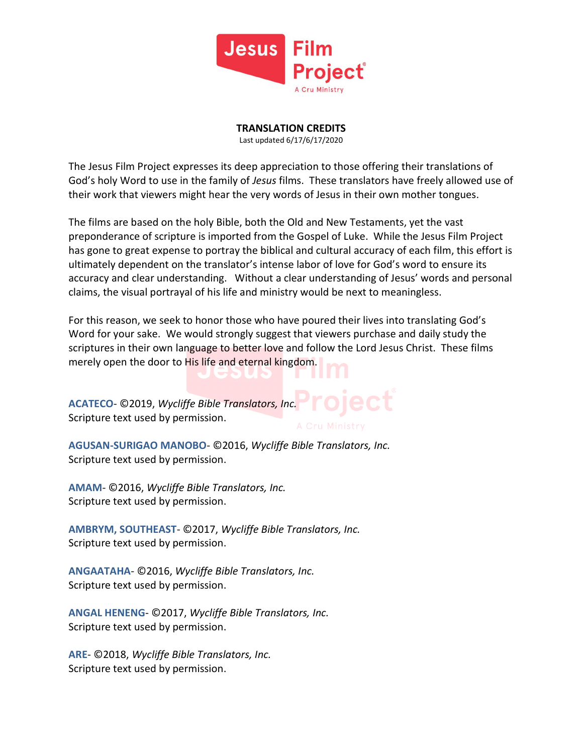

TRANSLATION CREDITS

Last updated 6/17/6/17/2020

The Jesus Film Project expresses its deep appreciation to those offering their translations of God's holy Word to use in the family of Jesus films. These translators have freely allowed use of their work that viewers might hear the very words of Jesus in their own mother tongues.

The films are based on the holy Bible, both the Old and New Testaments, yet the vast preponderance of scripture is imported from the Gospel of Luke. While the Jesus Film Project has gone to great expense to portray the biblical and cultural accuracy of each film, this effort is ultimately dependent on the translator's intense labor of love for God's word to ensure its accuracy and clear understanding. Without a clear understanding of Jesus' words and personal claims, the visual portrayal of his life and ministry would be next to meaningless.

For this reason, we seek to honor those who have poured their lives into translating God's Word for your sake. We would strongly suggest that viewers purchase and daily study the scriptures in their own language to better love and follow the Lord Jesus Christ. These films merely open the door to His life and eternal kingdom.

ACATECO- ©2019, Wycliffe Bible Translators, Inc. Scripture text used by permission.

AGUSAN-SURIGAO MANOBO- ©2016, Wycliffe Bible Translators, Inc. Scripture text used by permission.

AMAM- ©2016, Wycliffe Bible Translators, Inc. Scripture text used by permission.

AMBRYM, SOUTHEAST- ©2017, Wycliffe Bible Translators, Inc. Scripture text used by permission.

ANGAATAHA- ©2016, Wycliffe Bible Translators, Inc. Scripture text used by permission.

ANGAL HENENG- ©2017, Wycliffe Bible Translators, Inc. Scripture text used by permission.

ARE- ©2018, Wycliffe Bible Translators, Inc. Scripture text used by permission.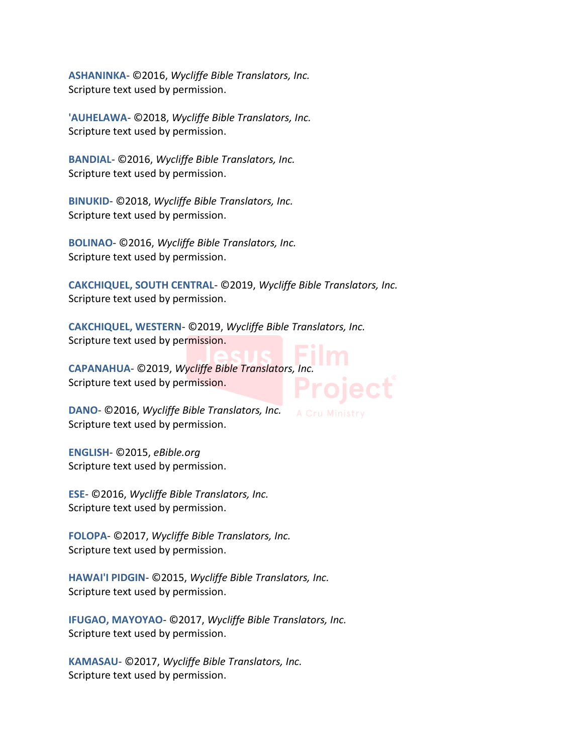ASHANINKA- ©2016, Wycliffe Bible Translators, Inc. Scripture text used by permission.

'AUHELAWA- ©2018, Wycliffe Bible Translators, Inc. Scripture text used by permission.

BANDIAL- ©2016, Wycliffe Bible Translators, Inc. Scripture text used by permission.

BINUKID- ©2018, Wycliffe Bible Translators, Inc. Scripture text used by permission.

BOLINAO- ©2016, Wycliffe Bible Translators, Inc. Scripture text used by permission.

CAKCHIQUEL, SOUTH CENTRAL- ©2019, Wycliffe Bible Translators, Inc. Scripture text used by permission.

CAKCHIQUEL, WESTERN- ©2019, Wycliffe Bible Translators, Inc. Scripture text used by permission.

CAPANAHUA- ©2019, Wycliffe Bible Translators, Inc. Scripture text used by permission.

DANO- ©2016, Wycliffe Bible Translators, Inc. Scripture text used by permission.

ENGLISH- ©2015, eBible.org Scripture text used by permission.

ESE- ©2016, Wycliffe Bible Translators, Inc. Scripture text used by permission.

FOLOPA- ©2017, Wycliffe Bible Translators, Inc. Scripture text used by permission.

HAWAI'I PIDGIN- ©2015, Wycliffe Bible Translators, Inc. Scripture text used by permission.

IFUGAO, MAYOYAO- ©2017, Wycliffe Bible Translators, Inc. Scripture text used by permission.

KAMASAU- ©2017, Wycliffe Bible Translators, Inc. Scripture text used by permission.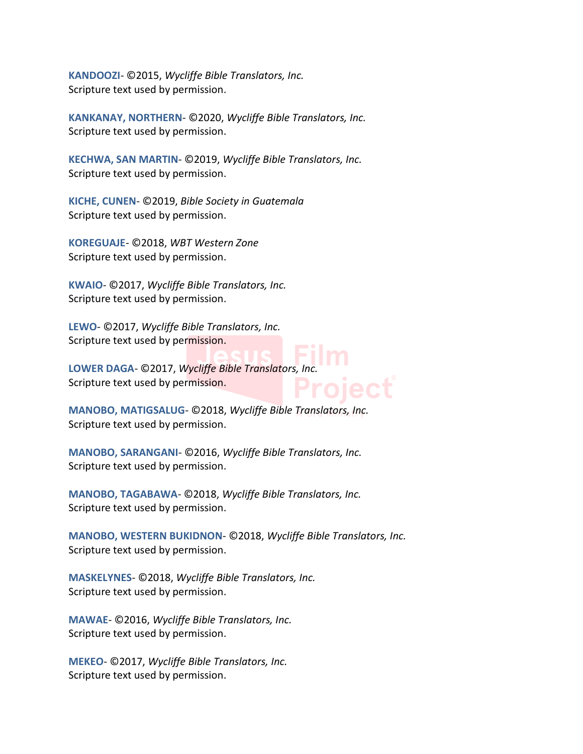KANDOOZI- ©2015, Wycliffe Bible Translators, Inc. Scripture text used by permission.

KANKANAY, NORTHERN- ©2020, Wycliffe Bible Translators, Inc. Scripture text used by permission.

KECHWA, SAN MARTIN- ©2019, Wycliffe Bible Translators, Inc. Scripture text used by permission.

KICHE, CUNEN- ©2019, Bible Society in Guatemala Scripture text used by permission.

KOREGUAJE- ©2018, WBT Western Zone Scripture text used by permission.

KWAIO- ©2017, Wycliffe Bible Translators, Inc. Scripture text used by permission.

LEWO- ©2017, Wycliffe Bible Translators, Inc. Scripture text used by permission.

LOWER DAGA- ©2017, Wycliffe Bible Translators, Inc. Scripture text used by permission.

MANOBO, MATIGSALUG- ©2018, Wycliffe Bible Translators, Inc. Scripture text used by permission.

MANOBO, SARANGANI- ©2016, Wycliffe Bible Translators, Inc. Scripture text used by permission.

MANOBO, TAGABAWA- ©2018, Wycliffe Bible Translators, Inc. Scripture text used by permission.

MANOBO, WESTERN BUKIDNON- ©2018, Wycliffe Bible Translators, Inc. Scripture text used by permission.

MASKELYNES- ©2018, Wycliffe Bible Translators, Inc. Scripture text used by permission.

MAWAE- ©2016, Wycliffe Bible Translators, Inc. Scripture text used by permission.

MEKEO- ©2017, Wycliffe Bible Translators, Inc. Scripture text used by permission.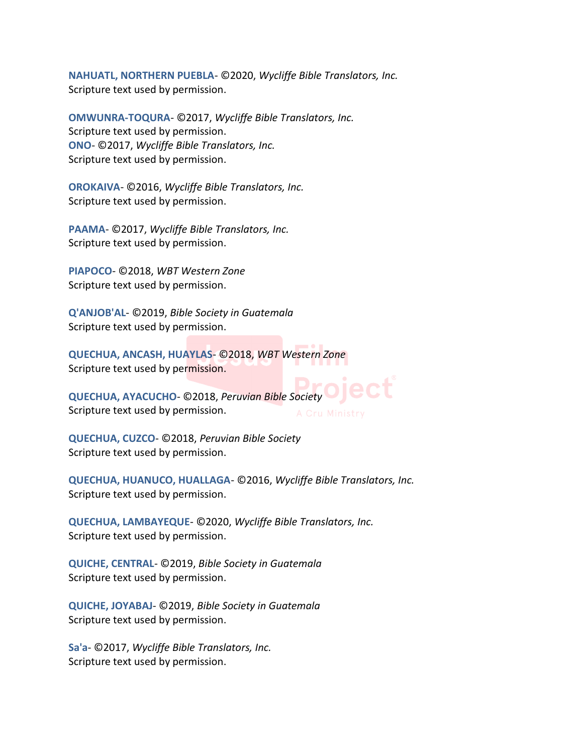NAHUATL, NORTHERN PUEBLA- ©2020, Wycliffe Bible Translators, Inc. Scripture text used by permission.

OMWUNRA-TOQURA- ©2017, Wycliffe Bible Translators, Inc. Scripture text used by permission. ONO- ©2017, Wycliffe Bible Translators, Inc. Scripture text used by permission.

OROKAIVA- ©2016, Wycliffe Bible Translators, Inc. Scripture text used by permission.

PAAMA- ©2017, Wycliffe Bible Translators, Inc. Scripture text used by permission.

PIAPOCO- ©2018, WBT Western Zone Scripture text used by permission.

Q'ANJOB'AL- ©2019, Bible Society in Guatemala Scripture text used by permission.

QUECHUA, ANCASH, HUAYLAS- ©2018, WBT Western Zone Scripture text used by permission.

QUECHUA, AYACUCHO- ©2018, Peruvian Bible Societ Scripture text used by permission.

QUECHUA, CUZCO- ©2018, Peruvian Bible Society Scripture text used by permission.

QUECHUA, HUANUCO, HUALLAGA- ©2016, Wycliffe Bible Translators, Inc. Scripture text used by permission.

QUECHUA, LAMBAYEQUE- ©2020, Wycliffe Bible Translators, Inc. Scripture text used by permission.

QUICHE, CENTRAL- ©2019, Bible Society in Guatemala Scripture text used by permission.

QUICHE, JOYABAJ- ©2019, Bible Society in Guatemala Scripture text used by permission.

Sa'a- ©2017, Wycliffe Bible Translators, Inc. Scripture text used by permission.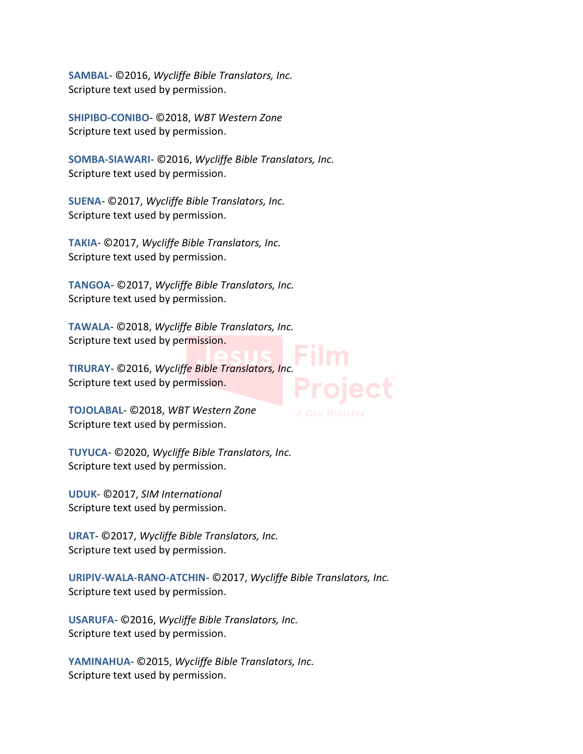SAMBAL- ©2016, Wycliffe Bible Translators, Inc. Scripture text used by permission.

SHIPIBO-CONIBO- ©2018, WBT Western Zone Scripture text used by permission.

SOMBA-SIAWARI- ©2016, Wycliffe Bible Translators, Inc. Scripture text used by permission.

SUENA- ©2017, Wycliffe Bible Translators, Inc. Scripture text used by permission.

TAKIA- ©2017, Wycliffe Bible Translators, Inc. Scripture text used by permission.

TANGOA- ©2017, Wycliffe Bible Translators, Inc. Scripture text used by permission.

TAWALA- ©2018, Wycliffe Bible Translators, Inc. Scripture text used by permission.

TIRURAY- ©2016, Wycliffe Bible Translators, Inc. Scripture text used by permission.

TOJOLABAL- ©2018, WBT Western Zone Scripture text used by permission.

TUYUCA- ©2020, Wycliffe Bible Translators, Inc. Scripture text used by permission.

UDUK- ©2017, SIM International Scripture text used by permission.

URAT- ©2017, Wycliffe Bible Translators, Inc. Scripture text used by permission.

URIPIV-WALA-RANO-ATCHIN- ©2017, Wycliffe Bible Translators, Inc. Scripture text used by permission.

USARUFA- ©2016, Wycliffe Bible Translators, Inc. Scripture text used by permission.

YAMINAHUA- ©2015, Wycliffe Bible Translators, Inc. Scripture text used by permission.